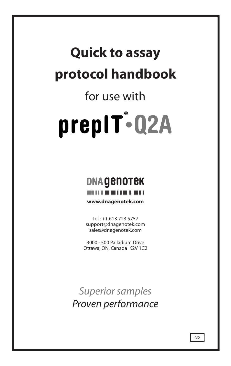## **Quick to assay protocol handbook**

# for use with prepIT-Q2A

### **DNA GENOTEK** -----------

**www.dnagenotek.com**

Tel.: +1.613.723.5757 support@dnagenotek.com sales@dnagenotek.com

3000 - 500 Palladium Drive Ottawa, ON, Canada K2V 1C2

*Superior samples Proven performance*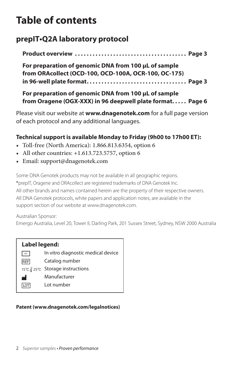## **Table of contents**

#### **prepIT•Q2A laboratory protocol**

**Product overview. . . Page 3**

**For preparation of genomic DNA from 100 µL of sample from ORAcollect (OCD-100, OCD-100A, OCR-100, OC-175) in 96-well plate format. . . Page 3**

**For preparation of genomic DNA from 100 µL of sample from Oragene (OGX-XXX) in 96 deepwell plate format. . . Page 6**

Please visit our website at **www.dnagenotek.com** for a full page version of each protocol and any additional languages.

#### **Technical support is available Monday to Friday (9h00 to 17h00 ET):**

- Toll-free (North America): 1.866.813.6354, option 6
- All other countries: +1.613.723.5757, option 6
- Email: support@dnagenotek.com

Some DNA Genotek products may not be available in all geographic regions. ®prepIT, Oragene and ORAcollect are registered trademarks of DNA Genotek Inc. All other brands and names contained herein are the property of their respective owners. All DNA Genotek protocols, white papers and application notes, are available in the support section of our website at www.dnagenotek.com.

Australian Sponsor:

Emergo Australia, Level 20, Tower II, Darling Park, 201 Sussex Street, Sydney, NSW 2000 Australia

| Label legend:                      |  |  |  |  |
|------------------------------------|--|--|--|--|
| In vitro diagnostic medical device |  |  |  |  |
| Catalog number                     |  |  |  |  |
| 15℃ / 25℃ Storage instructions     |  |  |  |  |
| Manufacturer                       |  |  |  |  |
| I ot number                        |  |  |  |  |
|                                    |  |  |  |  |

#### **Patent (www.dnagenotek.com/legalnotices)**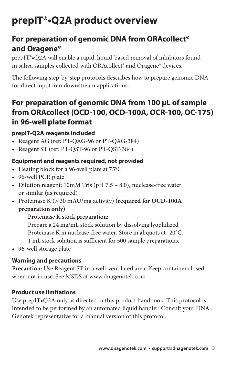## **prepIT®•Q2A product overview**

#### **For preparation of genomic DNA from ORAcollect® and Oragene®**

prepIT®•Q2A will enable a rapid, liquid-based removal of inhibitors found in saliva samples collected with ORAcollect® and Oragene® devices.

The following step-by-step protocols describes how to prepare genomic DNA for direct input into downstream applications:

#### **For preparation of genomic DNA from 100 µL of sample from ORAcollect (OCD-100, OCD-100A, OCR-100, OC-175) in 96-well plate format**

#### **prepIT•Q2A reagents included**

- Reagent AG (ref: PT-QAG-96 or PT-QAG-384)
- Reagent ST (ref: PT-QST-96 or PT-QST-384)

#### **Equipment and reagents required, not provided**

- Heating block for a 96-well plate at 75°C
- 96-well PCR plate
- Dilution reagent: 10mM Tris (pH 7.5 8.0), nuclease-free water or similar (as required)
- Proteinase K (> 30 mAU/mg activity) **(required for OCD-100A preparation only)**

#### **Proteinase K stock preparation:**

Prepare a 24 mg/mL stock solution by dissolving lyophilized Proteinase K in nuclease-free water. Store in aliquots at -20°C. 1 mL stock solution is sufficient for 500 sample preparations.

• 96-well storage plate

#### **Warning and precautions**

**Precaution:** Use Reagent ST in a well-ventilated area. Keep container closed when not in use. See MSDS at www.dnagenotek.com

#### **Product use limitations**

Use prepIT•Q2A only as directed in this product handbook. This protocol is intended to be performed by an automated liquid handler. Consult your DNA Genotek representative for a manual version of this protocol.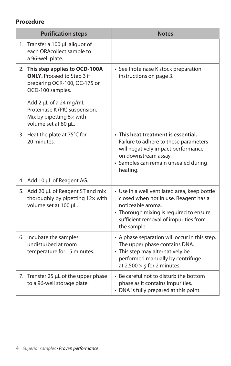#### **Procedure**

| <b>Purification steps</b>                                                                                                                                                                                                                | <b>Notes</b>                                                                                                                                                                                                  |
|------------------------------------------------------------------------------------------------------------------------------------------------------------------------------------------------------------------------------------------|---------------------------------------------------------------------------------------------------------------------------------------------------------------------------------------------------------------|
| 1. Transfer a 100 µL aliquot of<br>each ORAcollect sample to<br>a 96-well plate.                                                                                                                                                         |                                                                                                                                                                                                               |
| 2. This step applies to OCD-100A<br><b>ONLY.</b> Proceed to Step 3 if<br>preparing OCR-100, OC-175 or<br>OCD-100 samples.<br>Add 2 µL of a 24 mg/mL<br>Proteinase K (PK) suspension.<br>Mix by pipetting 5x with<br>volume set at 80 µL. | • See Proteinase K stock preparation<br>instructions on page 3.                                                                                                                                               |
| 3. Heat the plate at 75°C for<br>20 minutes.                                                                                                                                                                                             | • This heat treatment is essential.<br>Failure to adhere to these parameters<br>will negatively impact performance<br>on downstream assay.<br>· Samples can remain unsealed during<br>heating.                |
| 4. Add 10 µL of Reagent AG.                                                                                                                                                                                                              |                                                                                                                                                                                                               |
| 5. Add 20 µL of Reagent ST and mix<br>thoroughly by pipetting 12x with<br>volume set at 100 µL.                                                                                                                                          | • Use in a well ventilated area, keep bottle<br>closed when not in use. Reagent has a<br>noticeable aroma.<br>• Thorough mixing is required to ensure<br>sufficient removal of impurities from<br>the sample. |
| 6. Incubate the samples<br>undisturbed at room<br>temperature for 15 minutes.                                                                                                                                                            | • A phase separation will occur in this step.<br>The upper phase contains DNA.<br>• This step may alternatively be<br>performed manually by centrifuge<br>at 2,500 $\times$ q for 2 minutes.                  |
| 7. Transfer 25 µL of the upper phase<br>to a 96-well storage plate.                                                                                                                                                                      | . Be careful not to disturb the bottom<br>phase as it contains impurities.<br>• DNA is fully prepared at this point.                                                                                          |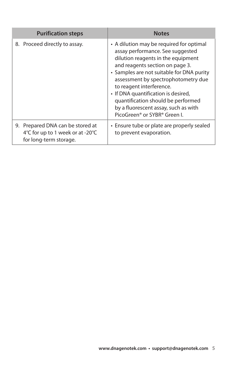| <b>Purification steps</b>                                                                      | <b>Notes</b>                                                                                                                                                                                                                                                                                                                                                                                                                           |
|------------------------------------------------------------------------------------------------|----------------------------------------------------------------------------------------------------------------------------------------------------------------------------------------------------------------------------------------------------------------------------------------------------------------------------------------------------------------------------------------------------------------------------------------|
| 8. Proceed directly to assay.                                                                  | • A dilution may be required for optimal<br>assay performance. See suggested<br>dilution reagents in the equipment<br>and reagents section on page 3.<br>• Samples are not suitable for DNA purity<br>assessment by spectrophotometry due<br>to reagent interference.<br>• If DNA quantification is desired,<br>quantification should be performed<br>by a fluorescent assay, such as with<br>PicoGreen <sup>®</sup> or SYBR® Green I. |
| 9. Prepared DNA can be stored at<br>4°C for up to 1 week or at -20°C<br>for long-term storage. | • Ensure tube or plate are properly sealed<br>to prevent evaporation.                                                                                                                                                                                                                                                                                                                                                                  |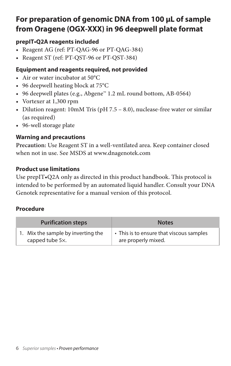#### **For preparation of genomic DNA from 100 µL of sample from Oragene (OGX-XXX) in 96 deepwell plate format**

#### **prepIT•Q2A reagents included**

- Reagent AG (ref: PT-QAG-96 or PT-QAG-384)
- Reagent ST (ref: PT-QST-96 or PT-QST-384)

#### **Equipment and reagents required, not provided**

- Air or water incubator at 50°C
- 96 deepwell heating block at 75°C
- 96 deepwell plates (e.g., Abgene™ 1.2 mL round bottom, AB-0564)
- Vortexer at 1,300 rpm
- Dilution reagent: 10mM Tris (pH 7.5 8.0), nuclease-free water or similar (as required)
- 96-well storage plate

#### **Warning and precautions**

**Precaution:** Use Reagent ST in a well-ventilated area. Keep container closed when not in use. See MSDS at www.dnagenotek.com

#### **Product use limitations**

Use prepIT•Q2A only as directed in this product handbook. This protocol is intended to be performed by an automated liquid handler. Consult your DNA Genotek representative for a manual version of this protocol.

#### **Procedure**

| <b>Purification steps</b>          | <b>Notes</b>                             |
|------------------------------------|------------------------------------------|
| 1. Mix the sample by inverting the | • This is to ensure that viscous samples |
| capped tube 5x.                    | are properly mixed.                      |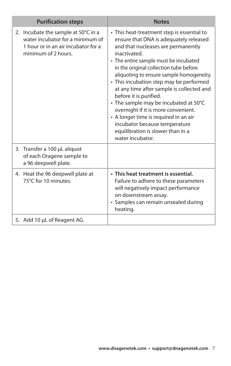| <b>Purification steps</b>                                                                                                             | <b>Notes</b>                                                                                                                                                                                                                                                                                                                                                                                                                                                                                                                                                                                                   |
|---------------------------------------------------------------------------------------------------------------------------------------|----------------------------------------------------------------------------------------------------------------------------------------------------------------------------------------------------------------------------------------------------------------------------------------------------------------------------------------------------------------------------------------------------------------------------------------------------------------------------------------------------------------------------------------------------------------------------------------------------------------|
| 2. Incubate the sample at 50°C in a<br>water incubator for a minimum of<br>1 hour or in an air incubator for a<br>minimum of 2 hours. | • This heat-treatment step is essential to<br>ensure that DNA is adequately released<br>and that nucleases are permanently<br>inactivated.<br>• The entire sample must be incubated<br>in the original collection tube before<br>aliquoting to ensure sample homogeneity.<br>• This incubation step may be performed<br>at any time after sample is collected and<br>before it is purified.<br>• The sample may be incubated at 50°C<br>overnight if it is more convenient.<br>• A longer time is required in an air<br>incubator because temperature<br>equilibration is slower than in a<br>water incubator. |
| 3. Transfer a 100 µL aliquot<br>of each Oragene sample to<br>a 96 deepwell plate.                                                     |                                                                                                                                                                                                                                                                                                                                                                                                                                                                                                                                                                                                                |
| 4. Heat the 96 deepwell plate at<br>75°C for 10 minutes                                                                               | . This heat treatment is essential.<br>Failure to adhere to these parameters<br>will negatively impact performance<br>on downstream assay.<br>· Samples can remain unsealed during<br>heating.                                                                                                                                                                                                                                                                                                                                                                                                                 |
| 5. Add 10 µL of Reagent AG.                                                                                                           |                                                                                                                                                                                                                                                                                                                                                                                                                                                                                                                                                                                                                |